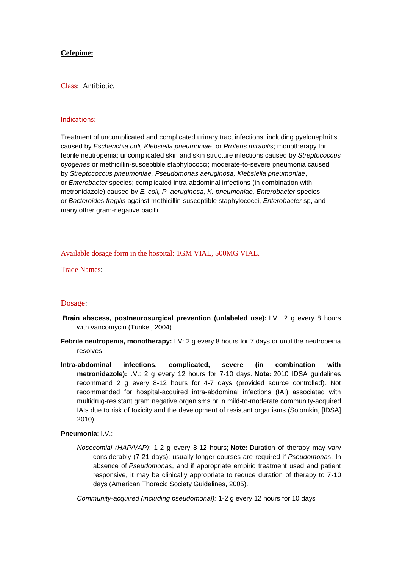## **Cefepime:**

Class: Antibiotic.

#### Indications:

Treatment of uncomplicated and complicated urinary tract infections, including pyelonephritis caused by *Escherichia coli, Klebsiella pneumoniae*, or *Proteus mirabilis*; monotherapy for febrile neutropenia; uncomplicated skin and skin structure infections caused by *Streptococcus pyogenes* or methicillin-susceptible staphylococci; moderate-to-severe pneumonia caused by *Streptococcus pneumoniae, Pseudomonas aeruginosa, Klebsiella pneumoniae*, or *Enterobacter* species; complicated intra-abdominal infections (in combination with metronidazole) caused by *E. coli, P. aeruginosa, K. pneumoniae, Enterobacter* species, or *Bacteroides fragilis* against methicillin-susceptible staphylococci, *Enterobacter* sp, and many other gram-negative bacilli

Available dosage form in the hospital: 1GM VIAL, 500MG VIAL.

Trade Names:

## Dosage:

- **Brain abscess, postneurosurgical prevention (unlabeled use):** I.V.: 2 g every 8 hours with vancomycin (Tunkel, 2004)
- **Febrile neutropenia, monotherapy:** I.V: 2 g every 8 hours for 7 days or until the neutropenia resolves
- **Intra-abdominal infections, complicated, severe (in combination with metronidazole):** I.V.: 2 g every 12 hours for 7-10 days. **Note:** 2010 IDSA guidelines recommend 2 g every 8-12 hours for 4-7 days (provided source controlled). Not recommended for hospital-acquired intra-abdominal infections (IAI) associated with multidrug-resistant gram negative organisms or in mild-to-moderate community-acquired IAIs due to risk of toxicity and the development of resistant organisms (Solomkin, [IDSA] 2010).

### **Pneumonia**: I.V.:

*Nosocomial (HAP/VAP)*: 1-2 g every 8-12 hours; **Note:** Duration of therapy may vary considerably (7-21 days); usually longer courses are required if *Pseudomonas*. In absence of *Pseudomonas*, and if appropriate empiric treatment used and patient responsive, it may be clinically appropriate to reduce duration of therapy to 7-10 days (American Thoracic Society Guidelines, 2005).

*Community-acquired (including pseudomonal):* 1-2 g every 12 hours for 10 days